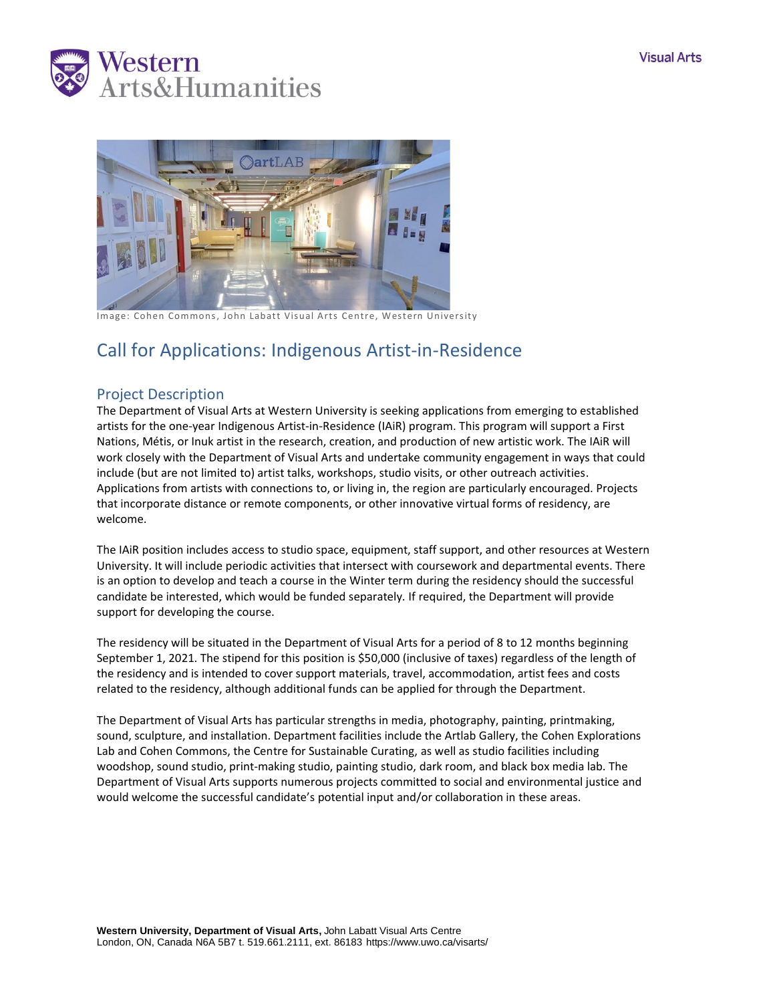



Image: Cohen Commons, John Labatt Visual Arts Centre, Western University

# Call for Applications: Indigenous Artist-in-Residence

### Project Description

The Department of Visual Arts at Western University is seeking applications from emerging to established artists for the one-year Indigenous Artist-in-Residence (IAiR) program. This program will support a First Nations, Métis, or Inuk artist in the research, creation, and production of new artistic work. The IAiR will work closely with the Department of Visual Arts and undertake community engagement in ways that could include (but are not limited to) artist talks, workshops, studio visits, or other outreach activities. Applications from artists with connections to, or living in, the region are particularly encouraged. Projects that incorporate distance or remote components, or other innovative virtual forms of residency, are welcome.

The IAiR position includes access to studio space, equipment, staff support, and other resources at Western University. It will include periodic activities that intersect with coursework and departmental events. There is an option to develop and teach a course in the Winter term during the residency should the successful candidate be interested, which would be funded separately. If required, the Department will provide support for developing the course.

The residency will be situated in the Department of Visual Arts for a period of 8 to 12 months beginning September 1, 2021. The stipend for this position is \$50,000 (inclusive of taxes) regardless of the length of the residency and is intended to cover support materials, travel, accommodation, artist fees and costs related to the residency, although additional funds can be applied for through the Department.

The Department of Visual Arts has particular strengths in media, photography, painting, printmaking, sound, sculpture, and installation. Department facilities include the Artlab Gallery, the Cohen Explorations Lab and Cohen Commons, the Centre for Sustainable Curating, as well as studio facilities including woodshop, sound studio, print-making studio, painting studio, dark room, and black box media lab. The Department of Visual Arts supports numerous projects committed to social and environmental justice and would welcome the successful candidate's potential input and/or collaboration in these areas.